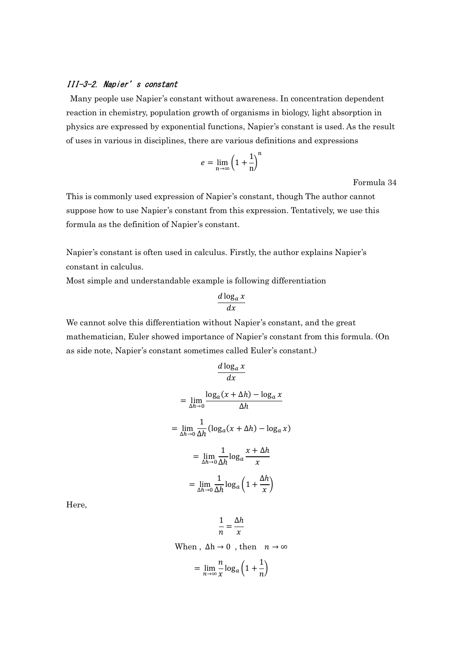## III-3-2. Napier's constant

 Many people use Napier's constant without awareness. In concentration dependent reaction in chemistry, population growth of organisms in biology, light absorption in physics are expressed by exponential functions, Napier's constant is used. As the result of uses in various in disciplines, there are various definitions and expressions

$$
e = \lim_{n \to \infty} \left( 1 + \frac{1}{n} \right)^n
$$

Formula 34

This is commonly used expression of Napier's constant, though The author cannot suppose how to use Napier's constant from this expression. Tentatively, we use this formula as the definition of Napier's constant.

Napier's constant is often used in calculus. Firstly, the author explains Napier's constant in calculus.

Most simple and understandable example is following differentiation

$$
\frac{d \log_a x}{dx}
$$

We cannot solve this differentiation without Napier's constant, and the great mathematician, Euler showed importance of Napier's constant from this formula. (On as side note, Napier's constant sometimes called Euler's constant.)

$$
\frac{d \log_a x}{dx}
$$
\n
$$
= \lim_{\Delta h \to 0} \frac{\log_a (x + \Delta h) - \log_a x}{\Delta h}
$$
\n
$$
= \lim_{\Delta h \to 0} \frac{1}{\Delta h} (\log_a (x + \Delta h) - \log_a x)
$$
\n
$$
= \lim_{\Delta h \to 0} \frac{1}{\Delta h} \log_a \frac{x + \Delta h}{x}
$$
\n
$$
= \lim_{\Delta h \to 0} \frac{1}{\Delta h} \log_a \left(1 + \frac{\Delta h}{x}\right)
$$

Here,

1  $\frac{1}{n}$  = ∆ℎ  $\boldsymbol{\chi}$ 

When,  $\Delta h \rightarrow 0$ , then  $n \rightarrow \infty$ 

$$
= \lim_{n \to \infty} \frac{n}{x} \log_a \left( 1 + \frac{1}{n} \right)
$$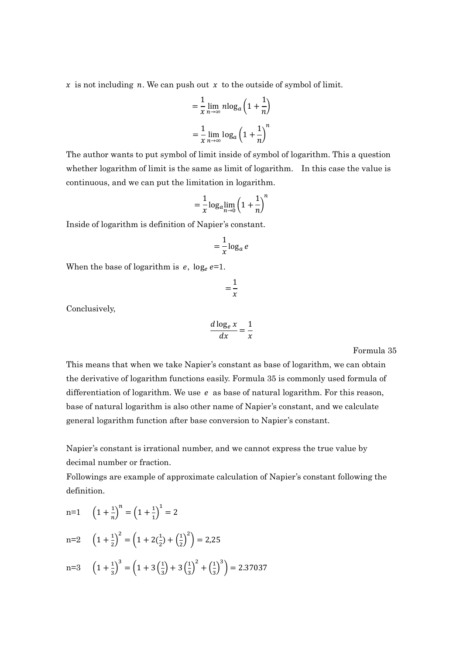$x$  is not including *n*. We can push out  $x$  to the outside of symbol of limit.

$$
= \frac{1}{x} \lim_{n \to \infty} n \log_a \left( 1 + \frac{1}{n} \right)
$$

$$
= \frac{1}{x} \lim_{n \to \infty} \log_a \left( 1 + \frac{1}{n} \right)^n
$$

The author wants to put symbol of limit inside of symbol of logarithm. This a question whether logarithm of limit is the same as limit of logarithm. In this case the value is continuous, and we can put the limitation in logarithm.

$$
=\frac{1}{x}\log_a \lim_{n\to 0}\left(1+\frac{1}{n}\right)^n
$$

Inside of logarithm is definition of Napier's constant.

$$
= \frac{1}{x} \log_a e
$$

When the base of logarithm is  $e$ , log<sub>e</sub>  $e=1$ .

$$
=\frac{1}{x}
$$

Conclusively,

$$
\frac{d \log_e x}{dx} = \frac{1}{x}
$$

Formula 35

This means that when we take Napier's constant as base of logarithm, we can obtain the derivative of logarithm functions easily. Formula 35 is commonly used formula of differentiation of logarithm. We use  $e$  as base of natural logarithm. For this reason, base of natural logarithm is also other name of Napier's constant, and we calculate general logarithm function after base conversion to Napier's constant.

Napier's constant is irrational number, and we cannot express the true value by decimal number or fraction.

Followings are example of approximate calculation of Napier's constant following the definition.

n=1 
$$
\left(1 + \frac{1}{n}\right)^n = \left(1 + \frac{1}{1}\right)^1 = 2
$$
  
\nn=2  $\left(1 + \frac{1}{2}\right)^2 = \left(1 + 2\left(\frac{1}{2}\right) + \left(\frac{1}{2}\right)^2\right) = 2.25$   
\nn=3  $\left(1 + \frac{1}{3}\right)^3 = \left(1 + 3\left(\frac{1}{3}\right) + 3\left(\frac{1}{3}\right)^2 + \left(\frac{1}{3}\right)^3\right) = 2.37037$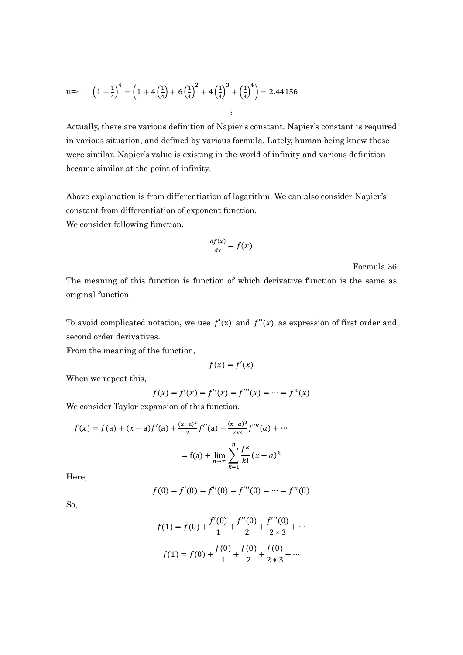n=4 
$$
\left(1+\frac{1}{4}\right)^4 = \left(1+4\left(\frac{1}{4}\right)+6\left(\frac{1}{4}\right)^2+4\left(\frac{1}{4}\right)^3+\left(\frac{1}{4}\right)^4\right) = 2.44156
$$
  
...

Actually, there are various definition of Napier's constant. Napier's constant is required in various situation, and defined by various formula. Lately, human being knew those were similar. Napier's value is existing in the world of infinity and various definition became similar at the point of infinity.

Above explanation is from differentiation of logarithm. We can also consider Napier's constant from differentiation of exponent function. We consider following function.

$$
\frac{df(x)}{dx} = f(x)
$$

Formula 36

The meaning of this function is function of which derivative function is the same as original function.

To avoid complicated notation, we use  $f'(x)$  and  $f''(x)$  as expression of first order and second order derivatives.

From the meaning of the function,

$$
f(x) = f'(x)
$$

When we repeat this,

$$
f(x) = f'(x) = f''(x) = f'''(x) = \dots = f^{n}(x)
$$

We consider Taylor expansion of this function.

$$
f(x) = f(a) + (x - a)f'(a) + \frac{(x - a)^2}{2}f''(a) + \frac{(x - a)^3}{2*3}f'''(a) + \cdots
$$

$$
= f(a) + \lim_{n \to \infty} \sum_{k=1}^n \frac{f^k}{k!} (x - a)^k
$$

Here,

$$
f(0) = f'(0) = f''(0) = f'''(0) = \dots = f^{(n)}(0)
$$

So,

$$
f(1) = f(0) + \frac{f'(0)}{1} + \frac{f''(0)}{2} + \frac{f'''(0)}{2*3} + \dots
$$

$$
f(1) = f(0) + \frac{f(0)}{1} + \frac{f(0)}{2} + \frac{f(0)}{2*3} + \dots
$$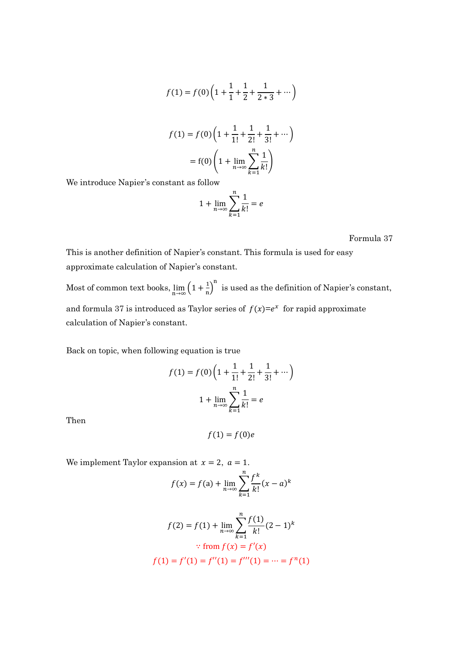$$
f(1) = f(0) \left( 1 + \frac{1}{1} + \frac{1}{2} + \frac{1}{2 \times 3} + \cdots \right)
$$

$$
f(1) = f(0) \left( 1 + \frac{1}{1!} + \frac{1}{2!} + \frac{1}{3!} + \cdots \right)
$$

$$
= f(0) \left( 1 + \lim_{n \to \infty} \sum_{k=1}^{n} \frac{1}{k!} \right)
$$

We introduce Napier's constant as follow

$$
1 + \lim_{n \to \infty} \sum_{k=1}^{n} \frac{1}{k!} = e
$$

Formula 37

This is another definition of Napier's constant. This formula is used for easy approximate calculation of Napier's constant.

Most of common text books,  $\lim_{n\to\infty} \left(1+\frac{1}{n}\right)^n$  is used as the definition of Napier's constant, and formula 37 is introduced as Taylor series of  $f(x)=e^x$  for rapid approximate calculation of Napier's constant.

Back on topic, when following equation is true

$$
f(1) = f(0) \left( 1 + \frac{1}{1!} + \frac{1}{2!} + \frac{1}{3!} + \cdots \right)
$$

$$
1 + \lim_{n \to \infty} \sum_{k=1}^{n} \frac{1}{k!} = e
$$

Then

$$
f(1)=f(0)e
$$

We implement Taylor expansion at  $x = 2$ ,  $a = 1$ .

$$
f(x) = f(a) + \lim_{n \to \infty} \sum_{k=1}^{n} \frac{f^k}{k!} (x - a)^k
$$

$$
f(2) = f(1) + \lim_{n \to \infty} \sum_{k=1}^{n} \frac{f(1)}{k!} (2-1)^k
$$
  
 
$$
\therefore \text{ from } f(x) = f'(x)
$$
  

$$
f(1) = f'(1) = f''(1) = f'''(1) = \dots = f^{n}(1)
$$